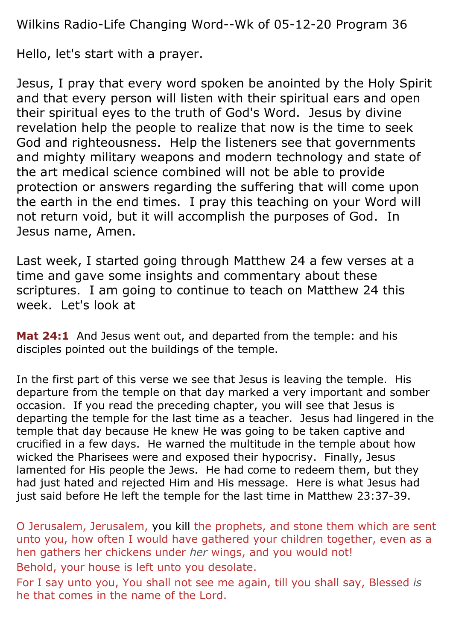Wilkins Radio-Life Changing Word--Wk of 05-12-20 Program 36

Hello, let's start with a prayer.

Jesus, I pray that every word spoken be anointed by the Holy Spirit and that every person will listen with their spiritual ears and open their spiritual eyes to the truth of God's Word. Jesus by divine revelation help the people to realize that now is the time to seek God and righteousness. Help the listeners see that governments and mighty military weapons and modern technology and state of the art medical science combined will not be able to provide protection or answers regarding the suffering that will come upon the earth in the end times. I pray this teaching on your Word will not return void, but it will accomplish the purposes of God. In Jesus name, Amen.

Last week, I started going through Matthew 24 a few verses at a time and gave some insights and commentary about these scriptures. I am going to continue to teach on Matthew 24 this week. Let's look at

**Mat 24:1** And Jesus went out, and departed from the temple: and his disciples pointed out the buildings of the temple.

In the first part of this verse we see that Jesus is leaving the temple. His departure from the temple on that day marked a very important and somber occasion. If you read the preceding chapter, you will see that Jesus is departing the temple for the last time as a teacher. Jesus had lingered in the temple that day because He knew He was going to be taken captive and crucified in a few days. He warned the multitude in the temple about how wicked the Pharisees were and exposed their hypocrisy. Finally, Jesus lamented for His people the Jews. He had come to redeem them, but they had just hated and rejected Him and His message. Here is what Jesus had just said before He left the temple for the last time in Matthew 23:37-39.

O Jerusalem, Jerusalem, you kill the prophets, and stone them which are sent unto you, how often I would have gathered your children together, even as a hen gathers her chickens under *her* wings, and you would not! Behold, your house is left unto you desolate.

For I say unto you, You shall not see me again, till you shall say, Blessed *is* he that comes in the name of the Lord.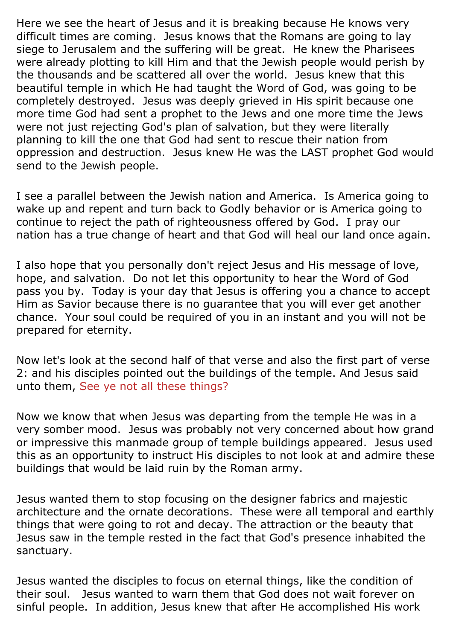Here we see the heart of Jesus and it is breaking because He knows very difficult times are coming. Jesus knows that the Romans are going to lay siege to Jerusalem and the suffering will be great. He knew the Pharisees were already plotting to kill Him and that the Jewish people would perish by the thousands and be scattered all over the world. Jesus knew that this beautiful temple in which He had taught the Word of God, was going to be completely destroyed. Jesus was deeply grieved in His spirit because one more time God had sent a prophet to the Jews and one more time the Jews were not just rejecting God's plan of salvation, but they were literally planning to kill the one that God had sent to rescue their nation from oppression and destruction. Jesus knew He was the LAST prophet God would send to the Jewish people.

I see a parallel between the Jewish nation and America. Is America going to wake up and repent and turn back to Godly behavior or is America going to continue to reject the path of righteousness offered by God. I pray our nation has a true change of heart and that God will heal our land once again.

I also hope that you personally don't reject Jesus and His message of love, hope, and salvation. Do not let this opportunity to hear the Word of God pass you by. Today is your day that Jesus is offering you a chance to accept Him as Savior because there is no guarantee that you will ever get another chance. Your soul could be required of you in an instant and you will not be prepared for eternity.

Now let's look at the second half of that verse and also the first part of verse 2: and his disciples pointed out the buildings of the temple. And Jesus said unto them, See ye not all these things?

Now we know that when Jesus was departing from the temple He was in a very somber mood. Jesus was probably not very concerned about how grand or impressive this manmade group of temple buildings appeared. Jesus used this as an opportunity to instruct His disciples to not look at and admire these buildings that would be laid ruin by the Roman army.

Jesus wanted them to stop focusing on the designer fabrics and majestic architecture and the ornate decorations. These were all temporal and earthly things that were going to rot and decay. The attraction or the beauty that Jesus saw in the temple rested in the fact that God's presence inhabited the sanctuary.

Jesus wanted the disciples to focus on eternal things, like the condition of their soul. Jesus wanted to warn them that God does not wait forever on sinful people. In addition, Jesus knew that after He accomplished His work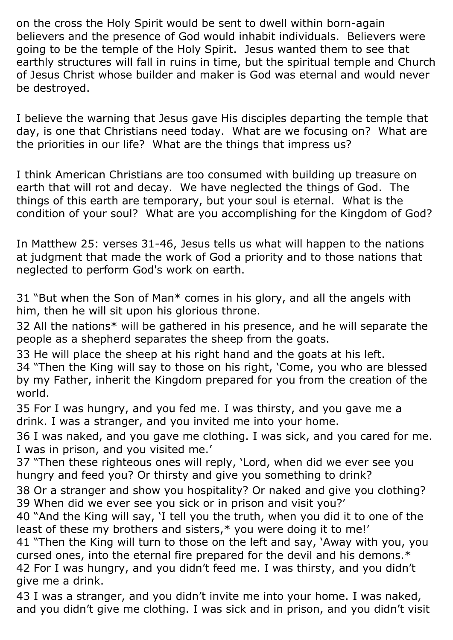on the cross the Holy Spirit would be sent to dwell within born-again believers and the presence of God would inhabit individuals. Believers were going to be the temple of the Holy Spirit. Jesus wanted them to see that earthly structures will fall in ruins in time, but the spiritual temple and Church of Jesus Christ whose builder and maker is God was eternal and would never be destroyed.

I believe the warning that Jesus gave His disciples departing the temple that day, is one that Christians need today. What are we focusing on? What are the priorities in our life? What are the things that impress us?

I think American Christians are too consumed with building up treasure on earth that will rot and decay. We have neglected the things of God. The things of this earth are temporary, but your soul is eternal. What is the condition of your soul? What are you accomplishing for the Kingdom of God?

In Matthew 25: verses 31-46, Jesus tells us what will happen to the nations at judgment that made the work of God a priority and to those nations that neglected to perform God's work on earth.

31 "But when the Son of Man\* comes in his glory, and all the angels with him, then he will sit upon his glorious throne.

32 All the nations\* will be gathered in his presence, and he will separate the people as a shepherd separates the sheep from the goats.

33 He will place the sheep at his right hand and the goats at his left.

34 "Then the King will say to those on his right, 'Come, you who are blessed by my Father, inherit the Kingdom prepared for you from the creation of the world.

35 For I was hungry, and you fed me. I was thirsty, and you gave me a drink. I was a stranger, and you invited me into your home.

36 I was naked, and you gave me clothing. I was sick, and you cared for me. I was in prison, and you visited me.'

37 "Then these righteous ones will reply, 'Lord, when did we ever see you hungry and feed you? Or thirsty and give you something to drink?

38 Or a stranger and show you hospitality? Or naked and give you clothing? 39 When did we ever see you sick or in prison and visit you?'

40 "And the King will say, 'I tell you the truth, when you did it to one of the least of these my brothers and sisters,\* you were doing it to me!'

41 "Then the King will turn to those on the left and say, 'Away with you, you cursed ones, into the eternal fire prepared for the devil and his demons.\* 42 For I was hungry, and you didn't feed me. I was thirsty, and you didn't give me a drink.

43 I was a stranger, and you didn't invite me into your home. I was naked, and you didn't give me clothing. I was sick and in prison, and you didn't visit